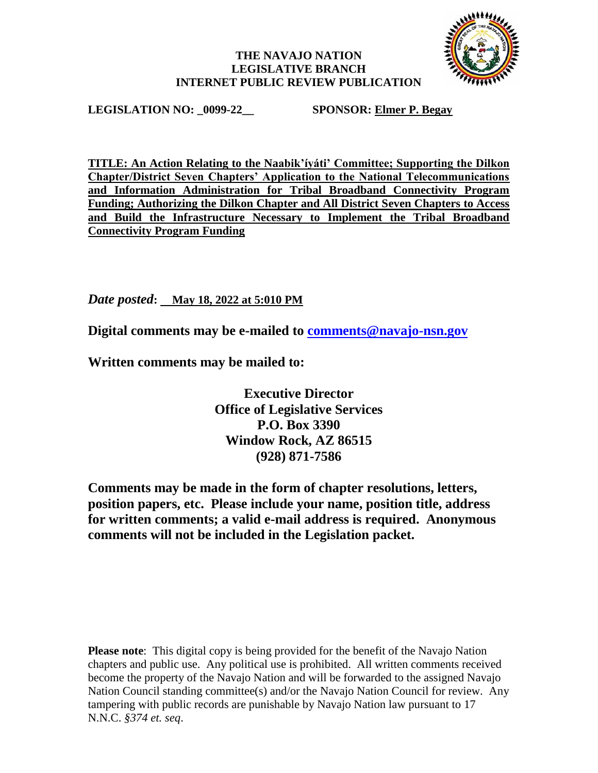## **THE NAVAJO NATION LEGISLATIVE BRANCH INTERNET PUBLIC REVIEW PUBLICATION**



**LEGISLATION NO: \_0099-22\_\_ SPONSOR: Elmer P. Begay**

**TITLE: An Action Relating to the Naabik'íyáti' Committee; Supporting the Dilkon Chapter/District Seven Chapters' Application to the National Telecommunications and Information Administration for Tribal Broadband Connectivity Program Funding; Authorizing the Dilkon Chapter and All District Seven Chapters to Access and Build the Infrastructure Necessary to Implement the Tribal Broadband Connectivity Program Funding**

*Date posted***: May 18, 2022 at 5:010 PM**

**Digital comments may be e-mailed to [comments@navajo-nsn.gov](mailto:comments@navajo-nsn.gov?subject=0099-22)**

**Written comments may be mailed to:**

**Executive Director Office of Legislative Services P.O. Box 3390 Window Rock, AZ 86515 (928) 871-7586**

**Comments may be made in the form of chapter resolutions, letters, position papers, etc. Please include your name, position title, address for written comments; a valid e-mail address is required. Anonymous comments will not be included in the Legislation packet.**

**Please note**: This digital copy is being provided for the benefit of the Navajo Nation chapters and public use. Any political use is prohibited. All written comments received become the property of the Navajo Nation and will be forwarded to the assigned Navajo Nation Council standing committee(s) and/or the Navajo Nation Council for review. Any tampering with public records are punishable by Navajo Nation law pursuant to 17 N.N.C. *§374 et. seq*.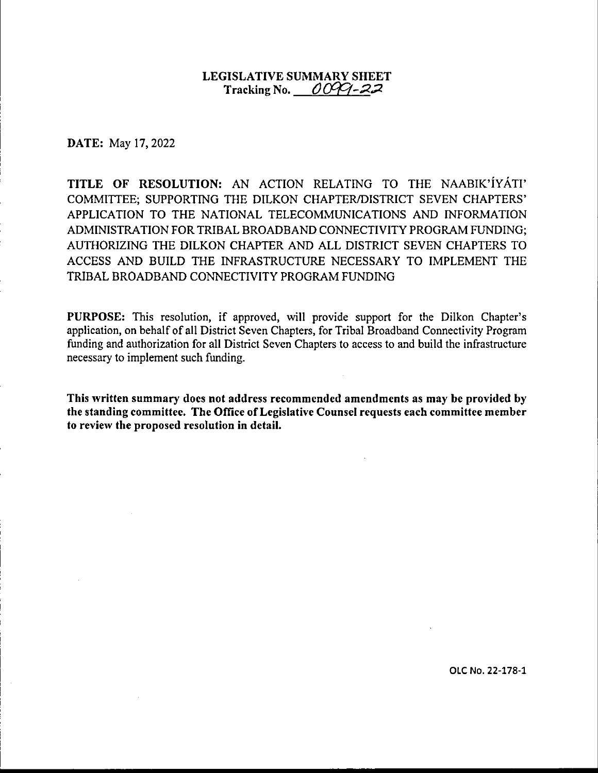## **LEGISLATIVE SUMMARY SHEET**   $\Gamma$ racking No.  $\angle$ *OCCI-22*

**DATE:** May 17, 2022

**TITLE OF RESOLUTION:** AN ACTION RELATING TO THE NAABIK'IYATI' COMMITTEE; SUPPORTING THE DILKON CHAPTER/DISTRICT SEVEN CHAPTERS' APPLICATION TO THE NATIONAL TELECOMMUNICATIONS AND INFORMATION ADMINISTRATION FOR TRIBAL BROADBAND CONNECTIVITY PROGRAM FUNDING; AUTHORIZING THE DILKON CHAPTER AND ALL DISTRICT SEVEN CHAPTERS TO ACCESS AND BUILD THE INFRASTRUCTURE NECESSARY TO IMPLEMENT THE TRIBAL BROADBAND CONNECTIVITY PROGRAM FUNDING

**PURPOSE:** This resolution, if approved, will provide support for the Dilkon Chapter's application, on behalf of all District Seven Chapters, for Tribal Broadband Connectivity Program funding and authorization for all District Seven Chapters to access to and build the infrastructure necessary to implement such funding.

**This written summary does not address recommended amendments as may be provided by the standing committee. The Office of Legislative Counsel requests each committee member to review the proposed resolution in detail.** 

OLC No. 22-178-1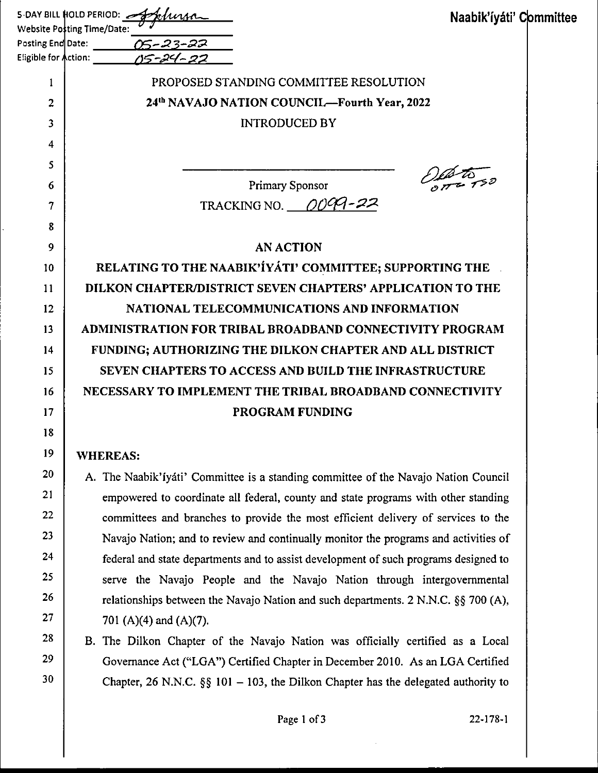| Website Posting Time/Date:   | سے :S-DAY BILL HOLD PERIOD<br>Naabik'íyáti' Committee                                |
|------------------------------|--------------------------------------------------------------------------------------|
| Posting End Date:            |                                                                                      |
| Eligible for <b>A</b> ction: |                                                                                      |
| 1                            | PROPOSED STANDING COMMITTEE RESOLUTION                                               |
| 2                            | 24th NAVAJO NATION COUNCIL—Fourth Year, 2022                                         |
| 3                            | <b>INTRODUCED BY</b>                                                                 |
| 4                            |                                                                                      |
| 5                            |                                                                                      |
| 6                            | Primary Sponsor                                                                      |
| 7                            | TRACKING NO. $0099 - 22$                                                             |
| 8                            |                                                                                      |
| 9                            | <b>AN ACTION</b>                                                                     |
| 10                           | RELATING TO THE NAABIK'IYATI' COMMITTEE; SUPPORTING THE                              |
| 11                           | DILKON CHAPTER/DISTRICT SEVEN CHAPTERS' APPLICATION TO THE                           |
| 12                           | NATIONAL TELECOMMUNICATIONS AND INFORMATION                                          |
| 13                           | ADMINISTRATION FOR TRIBAL BROADBAND CONNECTIVITY PROGRAM                             |
| 14                           | FUNDING; AUTHORIZING THE DILKON CHAPTER AND ALL DISTRICT                             |
| 15                           | <b>SEVEN CHAPTERS TO ACCESS AND BUILD THE INFRASTRUCTURE</b>                         |
| 16                           | NECESSARY TO IMPLEMENT THE TRIBAL BROADBAND CONNECTIVITY                             |
| 17                           | <b>PROGRAM FUNDING</b>                                                               |
| 18                           |                                                                                      |
| 19                           | <b>WHEREAS:</b>                                                                      |
| 20                           | A. The Naabik' fyati' Committee is a standing committee of the Navajo Nation Council |
| 21                           | empowered to coordinate all federal, county and state programs with other standing   |
| 22                           | committees and branches to provide the most efficient delivery of services to the    |
| 23                           | Navajo Nation; and to review and continually monitor the programs and activities of  |
| 24                           | federal and state departments and to assist development of such programs designed to |
| 25                           | serve the Navajo People and the Navajo Nation through intergovernmental              |
| 26                           | relationships between the Navajo Nation and such departments. 2 N.N.C. §§ 700 (A),   |
| 27                           | 701 (A)(4) and (A)(7).                                                               |
| 28                           | B. The Dilkon Chapter of the Navajo Nation was officially certified as a Local       |
| 29                           | Governance Act ("LGA") Certified Chapter in December 2010. As an LGA Certified       |

Chapter, 26 N.N.C.  $\S\S 101 - 103$ , the Dilkon Chapter has the delegated authority to

30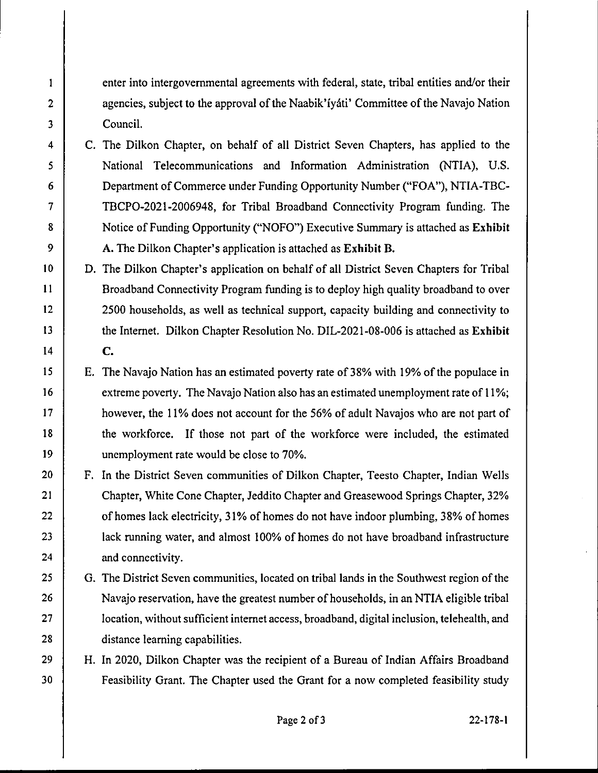enter into intergovernmental agreements with federal, state, tribal entities and/or their agencies, subject to the approval of the Naabik'iyati' Committee of the Navajo Nation Council.

I

2

3

4

5

6

7

8

9

10

11

12

13

14

15

16

17

18

19

20

21

22

23

24

25

26

27

28

29

30

- C. The Dilkon Chapter, on behalf of all District Seven Chapters, has applied to the National Telecommunications and Information Administration (NTIA), U.S. Department of Commerce under Funding Opportunity Number ("FOA''), NTIA-TBC-TBCPO-2021-2006948, for Tribal Broadband Connectivity Program funding. The Notice of Funding Opportunity ("NOFO") Executive Summary is attached as **Exhibit A.** The Dilkon Chapter's application is attached as **Exhibit B.**
- D. The Dilkon Chapter's application on behalf of all District Seven Chapters for Tribal Broadband Connectivity Program funding is to deploy high quality broadband to over 2500 households, as well as technical support, capacity building and connectivity to the Internet. Dilkon Chapter Resolution No. DIL-2021-08-006 is attached as **Exhibit C.**
- E. The Navajo Nation has an estimated poverty rate of38% with 19% of the populace in extreme poverty. The Navajo Nation also has an estimated unemployment rate of 11%; however, the 11% does not account for the 56% of adult Navajos who are not part of the workforce. If those not part of the workforce were included, the estimated unemployment rate would be close to 70%.
- F. In the District Seven communities of Dilkon Chapter, Teesto Chapter, Indian Wells Chapter, White Cone Chapter, Jeddito Chapter and Greasewood Springs Chapter, 32% of homes lack electricity, 31% of homes do not have indoor plumbing, 38% of homes lack running water, and almost 100% of homes do not have broadband infrastructure and connectivity.
	- G. The District Seven communities, located on tribal lands in the Southwest region of the Navajo reservation, have the greatest number of households, in an NTIA eligible tribal location, without sufficient internet access, broadband, digital inclusion, telehealth, and distance learning capabilities.

H. In 2020, Dilkon Chapter was the recipient of a Bureau of Indian Affairs Broadband Feasibility Grant. The Chapter used the Grant for a now completed feasibility study